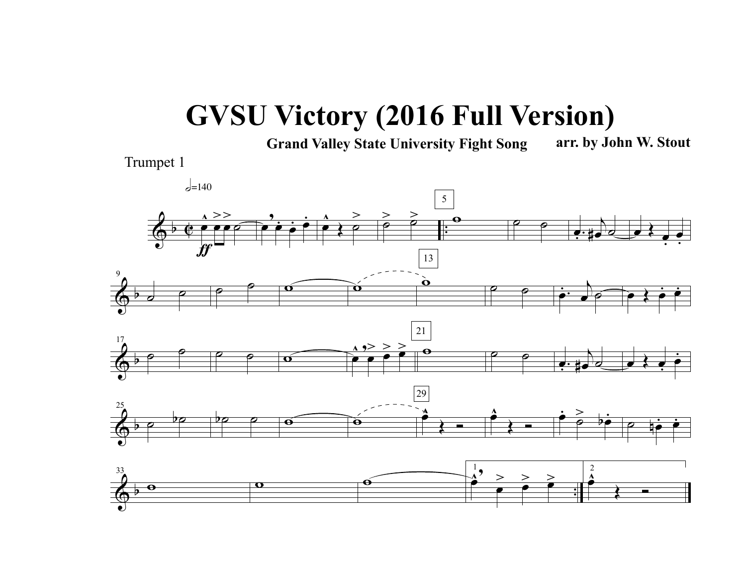## **GVSU Victory (2016 Full Version)**

**Grand Valley State University Fight Song arr. by John W. Stout**

Trumpet 1

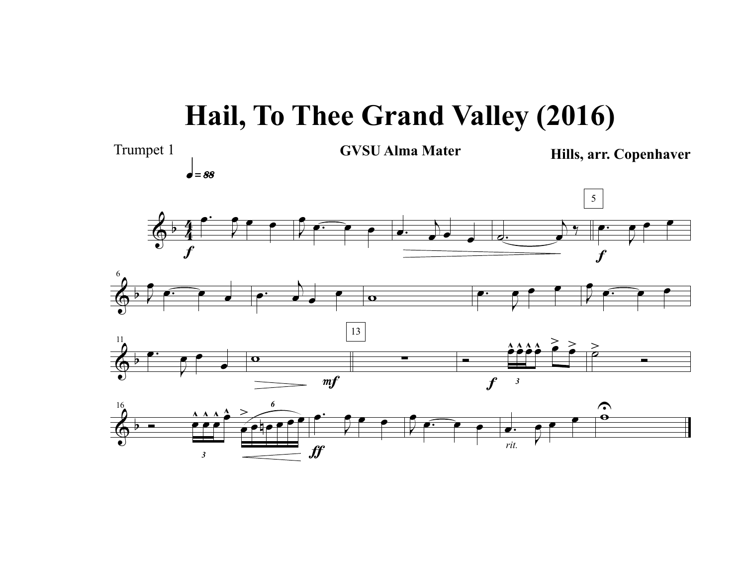## **Hail, To Thee Grand Valley (2016)**

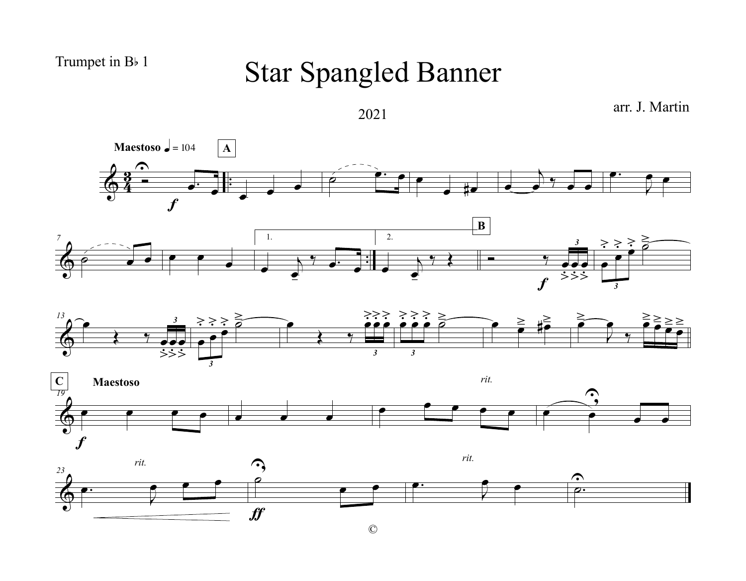## Trumpet in B<sub>b</sub> 1

## Star Spangled Banner



©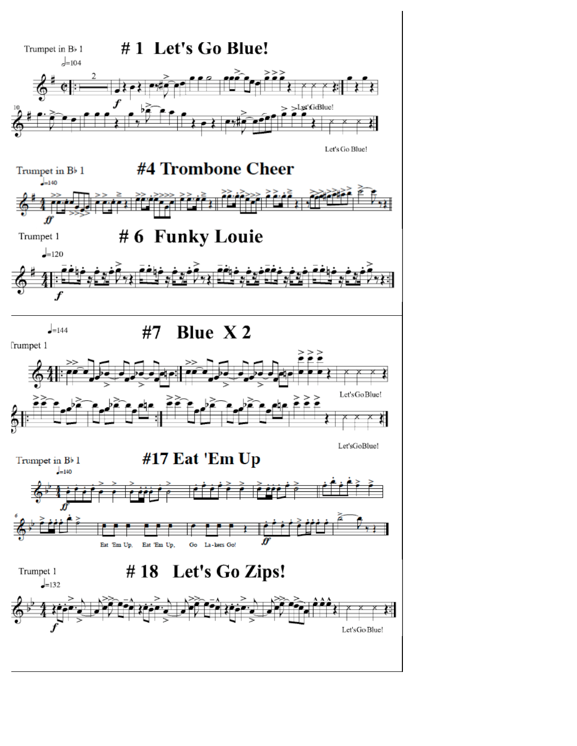